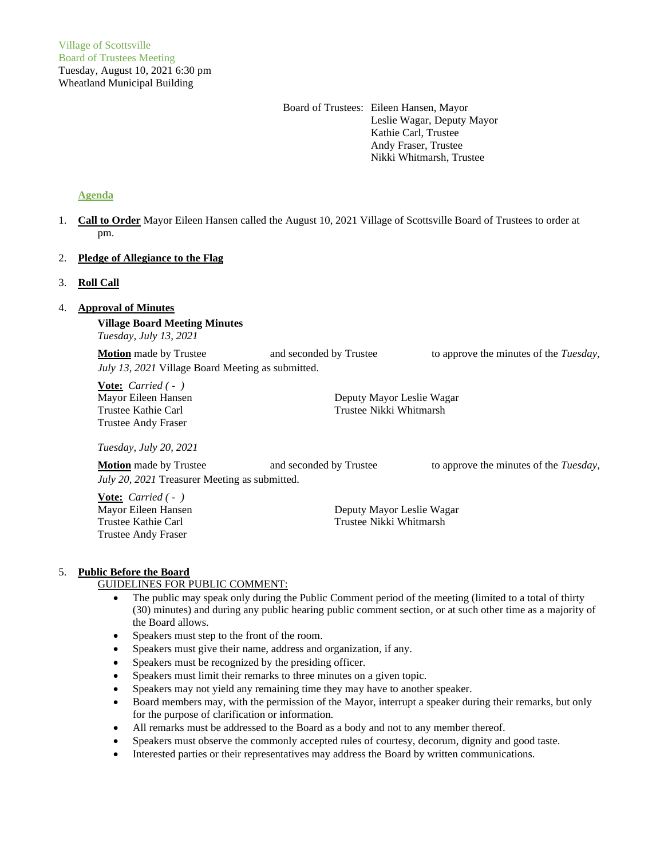Board of Trustees: Eileen Hansen, Mayor Leslie Wagar, Deputy Mayor Kathie Carl, Trustee Andy Fraser, Trustee Nikki Whitmarsh, Trustee

# **Agenda**

1. **Call to Order** Mayor Eileen Hansen called the August 10, 2021 Village of Scottsville Board of Trustees to order at pm.

# 2. **Pledge of Allegiance to the Flag**

# 3. **Roll Call**

# 4. **Approval of Minutes**

**Village Board Meeting Minutes**

*Tuesday, July 13, 2021*

**Motion** made by Trustee and seconded by Trustee to approve the minutes of the *Tuesday*, *July 13, 2021* Village Board Meeting as submitted.

**Vote:** *Carried ( - )* Mayor Eileen Hansen Deputy Mayor Leslie Wagar Trustee Kathie Carl Trustee Nikki Whitmarsh Trustee Andy Fraser

*Tuesday, July 20, 2021*

**Motion** made by Trustee and seconded by Trustee to approve the minutes of the *Tuesday*, *July 20, 2021* Treasurer Meeting as submitted.

**Vote:** *Carried ( - )* Trustee Andy Fraser

Mayor Eileen Hansen **Deputy Mayor Leslie Wagar** Trustee Kathie Carl Trustee Nikki Whitmarsh

## 5. **Public Before the Board**

## GUIDELINES FOR PUBLIC COMMENT:

- The public may speak only during the Public Comment period of the meeting (limited to a total of thirty (30) minutes) and during any public hearing public comment section, or at such other time as a majority of the Board allows.
- Speakers must step to the front of the room.
- Speakers must give their name, address and organization, if any.
- Speakers must be recognized by the presiding officer.
- Speakers must limit their remarks to three minutes on a given topic.
- Speakers may not yield any remaining time they may have to another speaker.
- Board members may, with the permission of the Mayor, interrupt a speaker during their remarks, but only for the purpose of clarification or information.
- All remarks must be addressed to the Board as a body and not to any member thereof.
- Speakers must observe the commonly accepted rules of courtesy, decorum, dignity and good taste.
- Interested parties or their representatives may address the Board by written communications.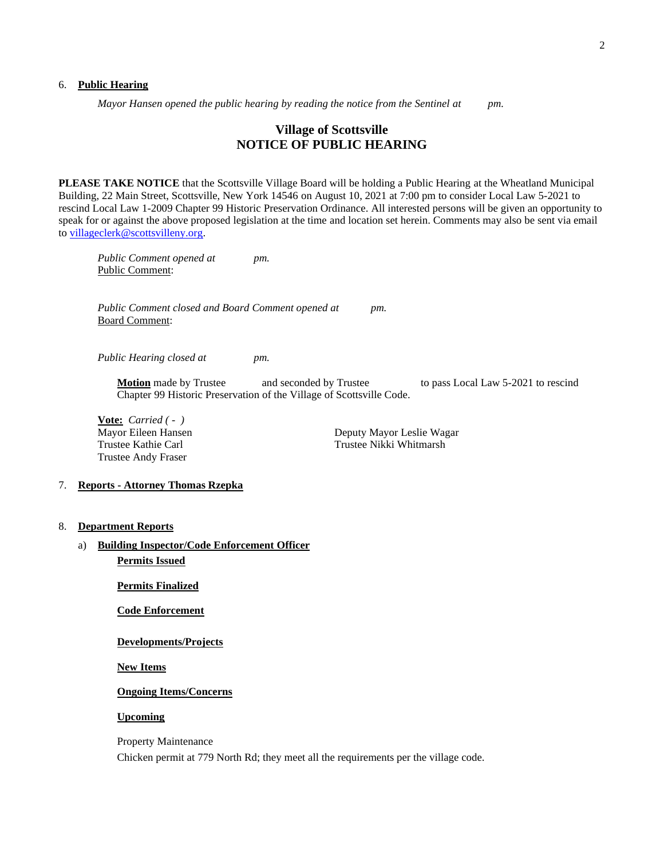#### 6. **Public Hearing**

*Mayor Hansen opened the public hearing by reading the notice from the Sentinel at pm.*

# **Village of Scottsville NOTICE OF PUBLIC HEARING**

**PLEASE TAKE NOTICE** that the Scottsville Village Board will be holding a Public Hearing at the Wheatland Municipal Building, 22 Main Street, Scottsville, New York 14546 on August 10, 2021 at 7:00 pm to consider Local Law 5-2021 to rescind Local Law 1-2009 Chapter 99 Historic Preservation Ordinance. All interested persons will be given an opportunity to speak for or against the above proposed legislation at the time and location set herein. Comments may also be sent via email to [villageclerk@scottsvilleny.org.](mailto:villageclerk@scottsvilleny.org)

*Public Comment opened at pm.* Public Comment:

*Public Comment closed and Board Comment opened at pm.* Board Comment:

*Public Hearing closed at pm.*

**Motion** made by Trustee and seconded by Trustee to pass Local Law 5-2021 to rescind Chapter 99 Historic Preservation of the Village of Scottsville Code.

**Vote:** *Carried ( - )* Trustee Andy Fraser

Mayor Eileen Hansen **Deputy Mayor Leslie Wagar** Trustee Kathie Carl Trustee Nikki Whitmarsh

### 7. **Reports - Attorney Thomas Rzepka**

- 8. **Department Reports**
	- a) **Building Inspector/Code Enforcement Officer Permits Issued**

**Permits Finalized**

**Code Enforcement**

**Developments/Projects**

**New Items**

## **Ongoing Items/Concerns**

## **Upcoming**

Property Maintenance

Chicken permit at 779 North Rd; they meet all the requirements per the village code.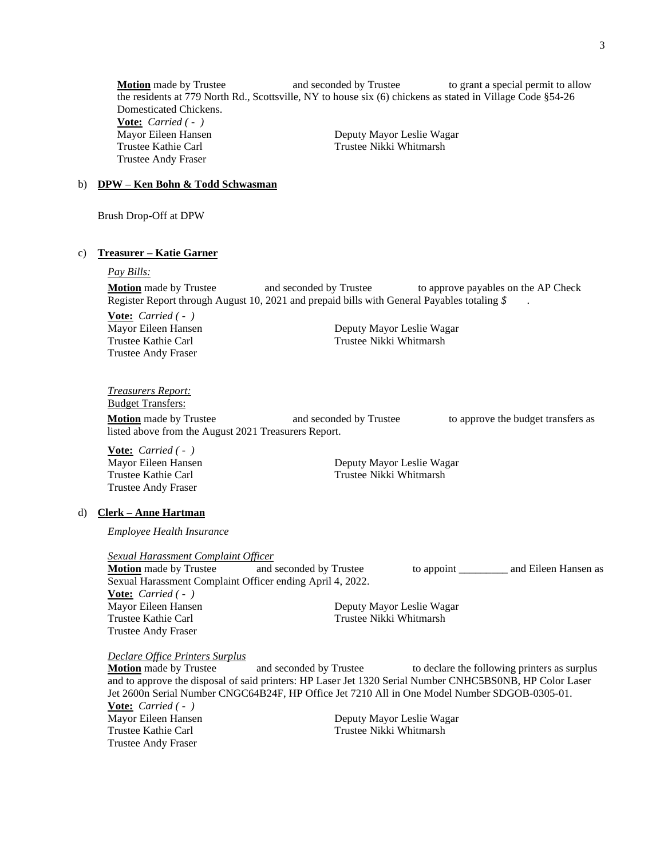**Motion** made by Trustee **and seconded by Trustee** to grant a special permit to allow the residents at 779 North Rd., Scottsville, NY to house six (6) chickens as stated in Village Code §54-26 Domesticated Chickens. **Vote:** *Carried ( - )* Mayor Eileen Hansen **Deputy Mayor Leslie Wagar** Trustee Kathie Carl Trustee Nikki Whitmarsh Trustee Andy Fraser

## b) **DPW – Ken Bohn & Todd Schwasman**

Brush Drop-Off at DPW

#### c) **Treasurer – Katie Garner**

#### *Pay Bills:*

**Motion** made by Trustee and seconded by Trustee to approve payables on the AP Check Register Report through August 10, 2021 and prepaid bills with General Payables totaling *\$* .

**Vote:** *Carried ( - )* Trustee Andy Fraser

Mayor Eileen Hansen Deputy Mayor Leslie Wagar Trustee Kathie Carl Trustee Nikki Whitmarsh

*Treasurers Report:* Budget Transfers:

**Motion** made by Trustee **and seconded by Trustee** to approve the budget transfers as listed above from the August 2021 Treasurers Report.

**Vote:** *Carried ( - )* Trustee Andy Fraser

Mayor Eileen Hansen **Deputy Mayor Leslie Wagar** Trustee Kathie Carl Trustee Nikki Whitmarsh

#### d) **Clerk – Anne Hartman**

*Employee Health Insurance*

#### *Sexual Harassment Complaint Officer*

**Motion** made by Trustee and seconded by Trustee to appoint \_\_\_\_\_\_\_\_\_ and Eileen Hansen as Sexual Harassment Complaint Officer ending April 4, 2022. **Vote:** *Carried ( - )* Mayor Eileen Hansen Deputy Mayor Leslie Wagar Trustee Kathie Carl Trustee Nikki Whitmarsh Trustee Andy Fraser

#### *Declare Office Printers Surplus*

**Motion** made by Trustee and seconded by Trustee to declare the following printers as surplus and to approve the disposal of said printers: HP Laser Jet 1320 Serial Number CNHC5BS0NB, HP Color Laser Jet 2600n Serial Number CNGC64B24F, HP Office Jet 7210 All in One Model Number SDGOB-0305-01. **Vote:** *Carried ( - )* Mayor Eileen Hansen **Deputy Mayor Leslie Wagar** Trustee Kathie Carl Trustee Nikki Whitmarsh Trustee Andy Fraser